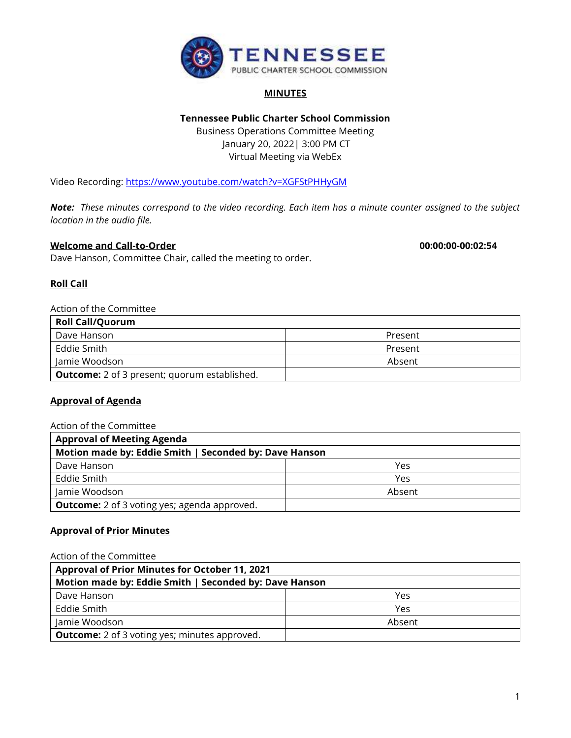

#### **MINUTES**

# **Tennessee Public Charter School Commission**

Business Operations Committee Meeting January 20, 2022| 3:00 PM CT Virtual Meeting via WebEx

Video Recording:<https://www.youtube.com/watch?v=XGFStPHHyGM>

*Note: These minutes correspond to the video recording. Each item has a minute counter assigned to the subject location in the audio file.*

## **Welcome and Call-to-Order 00:00:00-00:02:54**

Dave Hanson, Committee Chair, called the meeting to order.

## **Roll Call**

# Action of the Committee

| <b>Roll Call/Quorum</b>                             |         |
|-----------------------------------------------------|---------|
| Dave Hanson                                         | Present |
| Eddie Smith                                         | Present |
| Jamie Woodson                                       | Absent  |
| <b>Outcome:</b> 2 of 3 present; quorum established. |         |

#### **Approval of Agenda**

## Action of the Committee

| <b>Approval of Meeting Agenda</b><br>Motion made by: Eddie Smith   Seconded by: Dave Hanson |        |  |
|---------------------------------------------------------------------------------------------|--------|--|
|                                                                                             |        |  |
| Eddie Smith                                                                                 | Yes    |  |
| Jamie Woodson                                                                               | Absent |  |
| <b>Outcome:</b> 2 of 3 voting yes; agenda approved.                                         |        |  |

# **Approval of Prior Minutes**

Action of the Committee

| Approval of Prior Minutes for October 11, 2021         |        |  |
|--------------------------------------------------------|--------|--|
| Motion made by: Eddie Smith   Seconded by: Dave Hanson |        |  |
| Dave Hanson                                            | Yes    |  |
| Eddie Smith                                            | Yes    |  |
| Jamie Woodson                                          | Absent |  |
| <b>Outcome:</b> 2 of 3 voting yes; minutes approved.   |        |  |